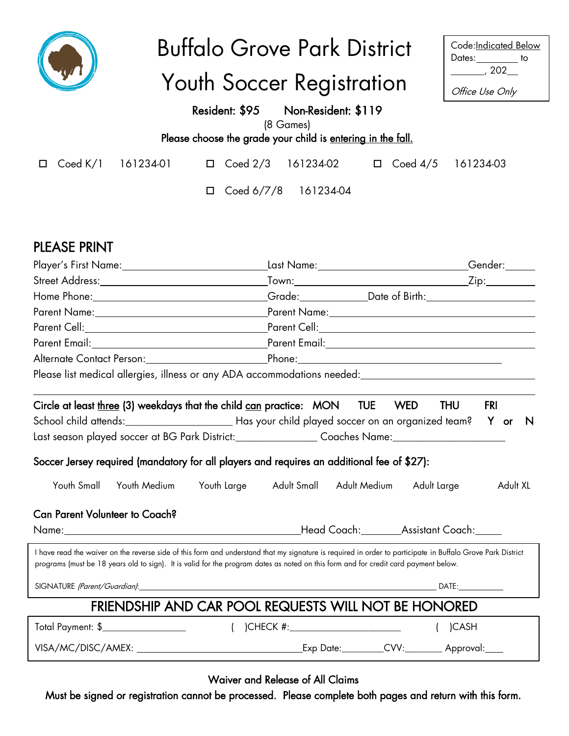|                                                                 | <b>Buffalo Grove Park District</b>                                                                                                                                                                                                                                                                 |                                                       | Code: Indicated Below<br>Dates:_________ to              |
|-----------------------------------------------------------------|----------------------------------------------------------------------------------------------------------------------------------------------------------------------------------------------------------------------------------------------------------------------------------------------------|-------------------------------------------------------|----------------------------------------------------------|
|                                                                 | Youth Soccer Registration                                                                                                                                                                                                                                                                          |                                                       | $\frac{1}{202}$ , 202 $\frac{1}{202}$<br>Office Use Only |
|                                                                 | Resident: \$95 Non-Resident: \$119                                                                                                                                                                                                                                                                 |                                                       |                                                          |
|                                                                 | (8 Games)                                                                                                                                                                                                                                                                                          |                                                       |                                                          |
|                                                                 | Please choose the grade your child is entering in the fall.                                                                                                                                                                                                                                        |                                                       |                                                          |
| $\mathsf{Coded}\; \mathsf{K}/\mathsf{1}$<br>161234-01<br>$\Box$ | $\Box$ Coed 2/3 161234-02 $\Box$ Coed 4/5 161234-03                                                                                                                                                                                                                                                |                                                       |                                                          |
|                                                                 | Coed 6/7/8 161234-04<br>$\Box$                                                                                                                                                                                                                                                                     |                                                       |                                                          |
| <b>PLEASE PRINT</b>                                             |                                                                                                                                                                                                                                                                                                    |                                                       |                                                          |
| Player's First Name: 1988                                       |                                                                                                                                                                                                                                                                                                    | Last Name:_____________________________Gender:_______ |                                                          |
|                                                                 |                                                                                                                                                                                                                                                                                                    |                                                       |                                                          |
|                                                                 | Home Phone:_________________________________Grade:_____________Date of Birth:_______________________                                                                                                                                                                                               |                                                       |                                                          |
|                                                                 |                                                                                                                                                                                                                                                                                                    |                                                       |                                                          |
|                                                                 |                                                                                                                                                                                                                                                                                                    |                                                       |                                                          |
|                                                                 |                                                                                                                                                                                                                                                                                                    |                                                       |                                                          |
|                                                                 |                                                                                                                                                                                                                                                                                                    |                                                       |                                                          |
|                                                                 | Please list medical allergies, illness or any ADA accommodations needed: ___________________________                                                                                                                                                                                               |                                                       |                                                          |
|                                                                 | Circle at least <u>three</u> (3) weekdays that the child can practice: MON TUE                                                                                                                                                                                                                     | <b>WED</b>                                            | <b>THU</b><br>FRI                                        |
|                                                                 |                                                                                                                                                                                                                                                                                                    |                                                       |                                                          |
|                                                                 | Last season played soccer at BG Park District:__________________Coaches Name:______________________                                                                                                                                                                                                |                                                       |                                                          |
|                                                                 | Soccer Jersey required (mandatory for all players and requires an additional fee of \$27):                                                                                                                                                                                                         |                                                       |                                                          |
| Youth Small<br>Youth Medium                                     | Youth Large<br>Adult Small                                                                                                                                                                                                                                                                         | Adult Medium<br>Adult Large                           | Adult XL                                                 |
| <b>Can Parent Volunteer to Coach?</b>                           |                                                                                                                                                                                                                                                                                                    |                                                       |                                                          |
|                                                                 |                                                                                                                                                                                                                                                                                                    |                                                       |                                                          |
|                                                                 | I have read the waiver on the reverse side of this form and understand that my signature is required in order to participate in Buffalo Grove Park District<br>programs (must be 18 years old to sign). It is valid for the program dates as noted on this form and for credit card payment below. |                                                       |                                                          |
|                                                                 |                                                                                                                                                                                                                                                                                                    |                                                       | DATE:                                                    |
|                                                                 | FRIENDSHIP AND CAR POOL REQUESTS WILL NOT BE HONORED                                                                                                                                                                                                                                               |                                                       |                                                          |
| Total Payment: \$___________________                            |                                                                                                                                                                                                                                                                                                    |                                                       | )CASH                                                    |
|                                                                 |                                                                                                                                                                                                                                                                                                    |                                                       |                                                          |

Waiver and Release of All Claims

Must be signed or registration cannot be processed. Please complete both pages and return with this form.